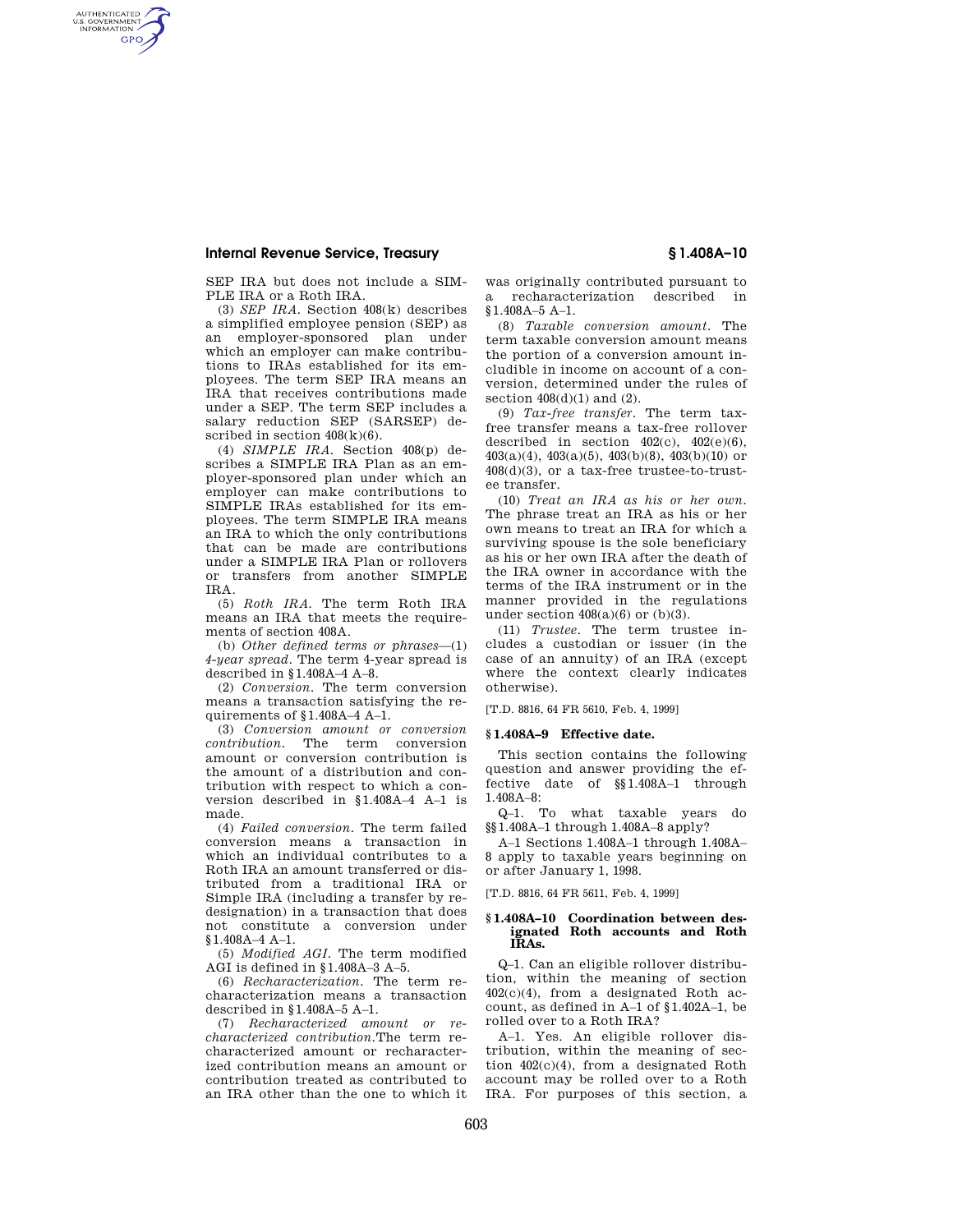## **Internal Revenue Service, Treasury § 1.408A–10**

AUTHENTICATED<br>U.S. GOVERNMENT<br>INFORMATION **GPO** 

SEP IRA but does not include a SIM-PLE IRA or a Roth IRA.

(3) *SEP IRA.* Section 408(k) describes a simplified employee pension (SEP) as an employer-sponsored plan under which an employer can make contributions to IRAs established for its employees. The term SEP IRA means an IRA that receives contributions made under a SEP. The term SEP includes a salary reduction SEP (SARSEP) described in section  $408(k)(6)$ .

(4) *SIMPLE IRA.* Section 408(p) describes a SIMPLE IRA Plan as an employer-sponsored plan under which an employer can make contributions to SIMPLE IRAs established for its employees. The term SIMPLE IRA means an IRA to which the only contributions that can be made are contributions under a SIMPLE IRA Plan or rollovers or transfers from another SIMPLE IRA.

(5) *Roth IRA.* The term Roth IRA means an IRA that meets the requirements of section 408A.

(b) *Other defined terms or phrases*—(1) *4-year spread.* The term 4-year spread is described in §1.408A–4 A–8.

(2) *Conversion.* The term conversion means a transaction satisfying the requirements of §1.408A–4 A–1.

(3) *Conversion amount or conversion contribution.* The term conversion amount or conversion contribution is the amount of a distribution and contribution with respect to which a conversion described in §1.408A–4 A–1 is made.

(4) *Failed conversion.* The term failed conversion means a transaction in which an individual contributes to a Roth IRA an amount transferred or distributed from a traditional IRA or Simple IRA (including a transfer by redesignation) in a transaction that does not constitute a conversion under §1.408A–4 A–1.

(5) *Modified AGI.* The term modified AGI is defined in §1.408A–3 A–5.

(6) *Recharacterization.* The term recharacterization means a transaction described in §1.408A–5 A–1.

(7) *Recharacterized amount or recharacterized contribution.*The term recharacterized amount or recharacterized contribution means an amount or contribution treated as contributed to an IRA other than the one to which it

was originally contributed pursuant to a recharacterization described in §1.408A–5 A–1.

(8) *Taxable conversion amount.* The term taxable conversion amount means the portion of a conversion amount includible in income on account of a conversion, determined under the rules of section  $408(d)(1)$  and  $(2)$ .

(9) *Tax-free transfer.* The term taxfree transfer means a tax-free rollover described in section  $402(c)$ ,  $402(e)(6)$ ,  $403(a)(4)$ ,  $403(a)(5)$ ,  $403(b)(8)$ ,  $403(b)(10)$  or 408(d)(3), or a tax-free trustee-to-trustee transfer.

(10) *Treat an IRA as his or her own.*  The phrase treat an IRA as his or her own means to treat an IRA for which a surviving spouse is the sole beneficiary as his or her own IRA after the death of the IRA owner in accordance with the terms of the IRA instrument or in the manner provided in the regulations under section  $408(a)(6)$  or  $(b)(3)$ .

(11) *Trustee.* The term trustee includes a custodian or issuer (in the case of an annuity) of an IRA (except where the context clearly indicates otherwise).

[T.D. 8816, 64 FR 5610, Feb. 4, 1999]

### **§ 1.408A–9 Effective date.**

This section contains the following question and answer providing the effective date of §§1.408A–1 through 1.408A–8:

Q–1. To what taxable years do §§1.408A–1 through 1.408A–8 apply?

A–1 Sections 1.408A–1 through 1.408A– 8 apply to taxable years beginning on or after January 1, 1998.

[T.D. 8816, 64 FR 5611, Feb. 4, 1999]

### **§ 1.408A–10 Coordination between designated Roth accounts and Roth IRAs.**

Q–1. Can an eligible rollover distribution, within the meaning of section 402(c)(4), from a designated Roth account, as defined in A–1 of §1.402A–1, be rolled over to a Roth IRA?

A–1. Yes. An eligible rollover distribution, within the meaning of section 402(c)(4), from a designated Roth account may be rolled over to a Roth IRA. For purposes of this section, a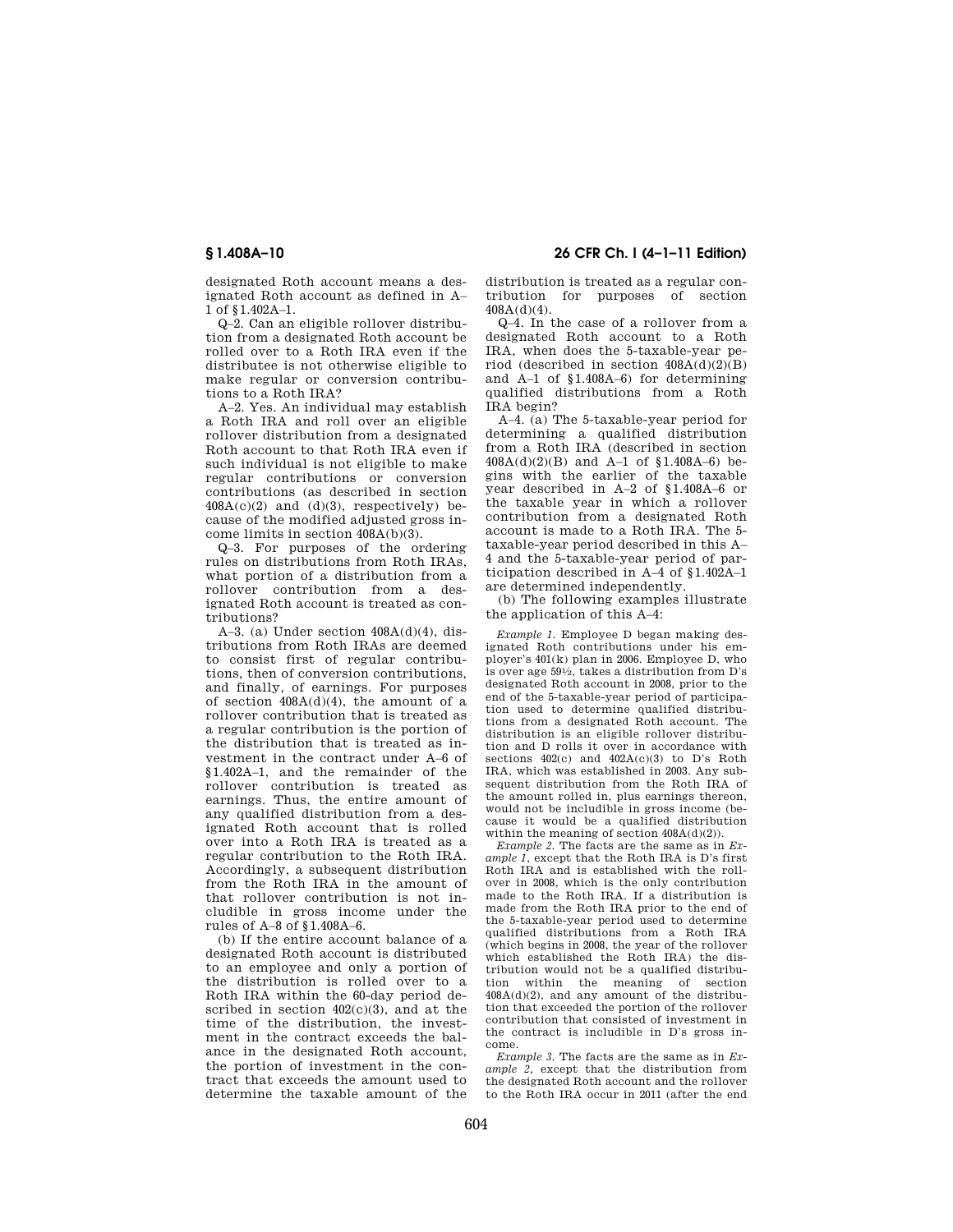designated Roth account means a designated Roth account as defined in A– 1 of §1.402A–1.

Q–2. Can an eligible rollover distribution from a designated Roth account be rolled over to a Roth IRA even if the distributee is not otherwise eligible to make regular or conversion contributions to a Roth IRA?

A–2. Yes. An individual may establish a Roth IRA and roll over an eligible rollover distribution from a designated Roth account to that Roth IRA even if such individual is not eligible to make regular contributions or conversion contributions (as described in section  $408A(c)(2)$  and  $(d)(3)$ , respectively) because of the modified adjusted gross income limits in section 408A(b)(3).

Q–3. For purposes of the ordering rules on distributions from Roth IRAs, what portion of a distribution from a rollover contribution from a designated Roth account is treated as contributions?

A–3. (a) Under section  $408A(d)(4)$ , distributions from Roth IRAs are deemed to consist first of regular contributions, then of conversion contributions, and finally, of earnings. For purposes of section  $408A(d)(4)$ , the amount of a rollover contribution that is treated as a regular contribution is the portion of the distribution that is treated as investment in the contract under A–6 of §1.402A–1, and the remainder of the rollover contribution is treated as earnings. Thus, the entire amount of any qualified distribution from a designated Roth account that is rolled over into a Roth IRA is treated as a regular contribution to the Roth IRA. Accordingly, a subsequent distribution from the Roth IRA in the amount of that rollover contribution is not includible in gross income under the rules of A–8 of §1.408A–6.

(b) If the entire account balance of a designated Roth account is distributed to an employee and only a portion of the distribution is rolled over to a Roth IRA within the 60-day period described in section 402(c)(3), and at the time of the distribution, the investment in the contract exceeds the balance in the designated Roth account, the portion of investment in the contract that exceeds the amount used to determine the taxable amount of the

**§ 1.408A–10 26 CFR Ch. I (4–1–11 Edition)** 

distribution is treated as a regular contribution for purposes of section 408A(d)(4).

Q–4. In the case of a rollover from a designated Roth account to a Roth IRA, when does the 5-taxable-year period (described in section  $408A(d)(2)(B)$ and A–1 of §1.408A–6) for determining qualified distributions from a Roth IRA begin?

A–4. (a) The 5-taxable-year period for determining a qualified distribution from a Roth IRA (described in section 408A(d)(2)(B) and A–1 of §1.408A–6) begins with the earlier of the taxable year described in A–2 of §1.408A–6 or the taxable year in which a rollover contribution from a designated Roth account is made to a Roth IRA. The 5 taxable-year period described in this A– 4 and the 5-taxable-year period of participation described in A–4 of §1.402A–1 are determined independently.

(b) The following examples illustrate the application of this A–4:

*Example 1.* Employee D began making designated Roth contributions under his employer's 401(k) plan in 2006. Employee D, who is over age 591⁄2, takes a distribution from D's designated Roth account in 2008, prior to the end of the 5-taxable-year period of participation used to determine qualified distributions from a designated Roth account. The distribution is an eligible rollover distribution and D rolls it over in accordance with sections  $402(c)$  and  $402A(c)(3)$  to D's Roth IRA, which was established in 2003. Any subsequent distribution from the Roth IRA of the amount rolled in, plus earnings thereon, would not be includible in gross income (because it would be a qualified distribution within the meaning of section  $408A(d)(2)$ ).

*Example 2.* The facts are the same as in *Example 1*, except that the Roth IRA is D's first Roth IRA and is established with the rollover in 2008, which is the only contribution made to the Roth IRA. If a distribution is made from the Roth IRA prior to the end of the 5-taxable-year period used to determine qualified distributions from a Roth IRA (which begins in 2008, the year of the rollover which established the Roth IRA) the distribution would not be a qualified distribution within the meaning of section  $408A(d)(2)$ , and any amount of the distribution that exceeded the portion of the rollover contribution that consisted of investment in the contract is includible in D's gross income.

*Example 3.* The facts are the same as in *Example 2*, except that the distribution from the designated Roth account and the rollover to the Roth IRA occur in 2011 (after the end